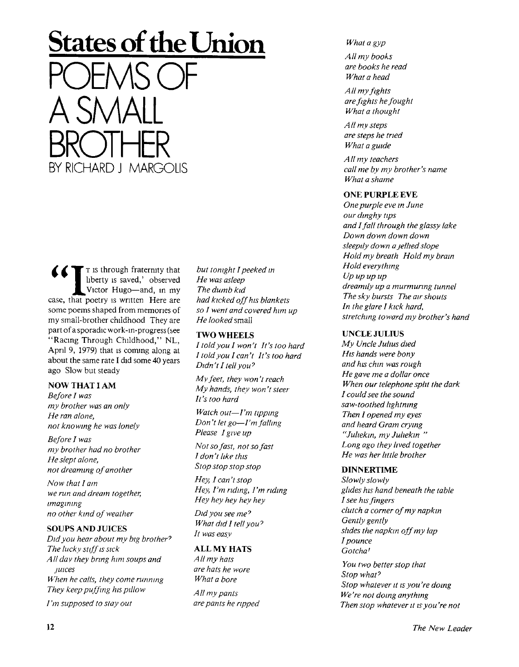# **States of the Union**  POEMS OF A SMALL BROTHER BY RICHARD J MARGOLIS

 $\mathbf{r}$   $\mathbf{r}$  is through fraternity that liberty is saved,' observed Victor Hugo—and, in my case, that poetry is written Here are some poems shaped from memories of my small-brother childhood They are part of a sporadic work-in-progress (see "Racing Through Childhood," NL, April 9, 1979) that is coming along at about the same rate I did some 40 years ago Slow but steady

# NOW THAT I AM

*Before I was my brother was an only He ran alone, not knowing he was lonely* 

*Before I was my brother had no brother He slept alone, not dreaming of another* 

*Now that I am we run and dream together, imagining no other kind of weather* 

# SOUPS AND JUICES

*Did you hear about my big brother<sup>7</sup> The lucky stiff is sick All day they bring him soups and juices When he calls, they come running They keep puffing his pillow* 

*I'm supposed to stay out* 

*but tonight I peeked in He was asleep The dumb kid had kicked off his blankets so I went and covered him up He looked* small

#### **TWO WHEELS**

*I told you I won't ft's too hard I told you I can't It's too hard Didn't I tell you 7* 

*My feet, they won't reach My hands, they won't steer It's too hard* 

*Watch out—I'm tipping Don't let go—I'm falling Please I give up* 

*Not so fast, not so fast I don't like this Stop stop stop stop* 

*Hey, I can't stop Hey, I'm riding, I'm riding Hey hey hey hey hey* 

*Did you see me 9 What did I tell you 7 It was easy* 

#### **ALL MY HATS**

*AII my hats are hats he wore What a bore* 

*All my pants are pants he ripped* 

#### *What a gyp*

*All my books are books he read What a head* 

*All my fights are fights he fought What a thought* 

*All my steps are steps he tried What a guide* 

*All my teachers call me by my brother's name What a shame* 

#### ONE PURPLE EVE

*One purple eve in June our dinghy tips and I fall through the glassy lake Down down down down sleepily down a jellied slope Hold my breath Hold my brain Hold everything Up up up up dreamily up a murmuring tunnel The sky bursts The air shouts In the glare I kick hard, stretching toward my brother's hand* 

#### UNCLE JULIUS

*My Uncle Julius died His hands were bony and his chin was rough He gave me a dollar once When our telephone split the dark I could see the sound saw-toothed lightning Then I opened my eyes and heard Gram crying "Juliekin, my Juliekin " Long ago they lived together He was her little brother* 

#### **DINNERTIME**

*Slowly slowly glides his hand beneath the table I see his fingers clutch a corner of my napkin Gently gently slides the napkin off my lap I pounce Gotcha' You two better stop that* 

*Stop what<sup>7</sup> Stop whatever it is you're doing We're not doing anything Then stop whatever it is you're not*